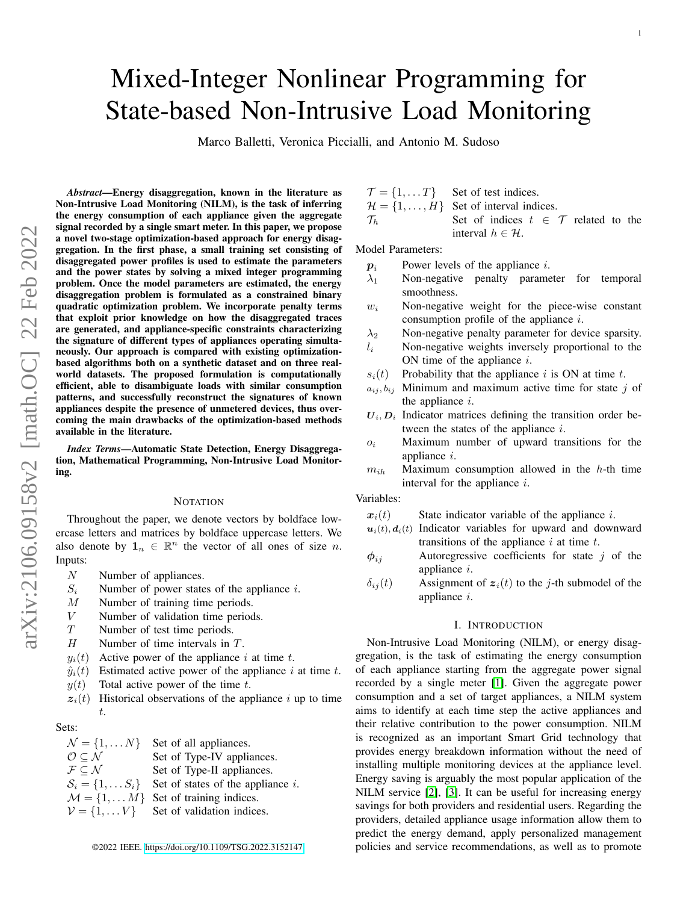# Mixed-Integer Nonlinear Programming for State-based Non-Intrusive Load Monitoring

Marco Balletti, Veronica Piccialli, and Antonio M. Sudoso

*Abstract*—Energy disaggregation, known in the literature as Non-Intrusive Load Monitoring (NILM), is the task of inferring the energy consumption of each appliance given the aggregate signal recorded by a single smart meter. In this paper, we propose a novel two-stage optimization-based approach for energy disaggregation. In the first phase, a small training set consisting of disaggregated power profiles is used to estimate the parameters and the power states by solving a mixed integer programming problem. Once the model parameters are estimated, the energy disaggregation problem is formulated as a constrained binary quadratic optimization problem. We incorporate penalty terms that exploit prior knowledge on how the disaggregated traces are generated, and appliance-specific constraints characterizing the signature of different types of appliances operating simultaneously. Our approach is compared with existing optimizationbased algorithms both on a synthetic dataset and on three realworld datasets. The proposed formulation is computationally efficient, able to disambiguate loads with similar consumption patterns, and successfully reconstruct the signatures of known appliances despite the presence of unmetered devices, thus overcoming the main drawbacks of the optimization-based methods available in the literature.

*Index Terms*—Automatic State Detection, Energy Disaggregation, Mathematical Programming, Non-Intrusive Load Monitoring.

#### **NOTATION**

Throughout the paper, we denote vectors by boldface lowercase letters and matrices by boldface uppercase letters. We also denote by  $\mathbf{1}_n \in \mathbb{R}^n$  the vector of all ones of size n. Inputs:

- N Number of appliances.
- $S_i$  Number of power states of the appliance i.
- M Number of training time periods.
- V Number of validation time periods.
- T Number of test time periods.
- $H$  Number of time intervals in  $T$ .
- $y_i(t)$  Active power of the appliance i at time t.
- $\hat{y}_i(t)$  Estimated active power of the appliance i at time t.
- $y(t)$  Total active power of the time t.
- $z_i(t)$  Historical observations of the appliance i up to time t.

#### Sets:

 $\mathcal{N} = \{1, \dots N\}$  Set of all appliances.<br>  $\mathcal{O} \subset \mathcal{N}$  Set of Type-IV appliances. Set of Type-IV appliances.  $\mathcal{F} \subseteq \mathcal{N}$  Set of Type-II appliances.<br>  $\mathcal{S}_i = \{1, \dots S_i\}$  Set of states of the appliances. Set of states of the appliance  $i$ .  $M = \{1, \dots M\}$  Set of training indices.  $V = \{1, \dots V\}$  Set of validation indices.

 $\mathcal{T} = \{1, \dots T\}$  Set of test indices.

$$
\mathcal{H} = \{1, \dots, H\}
$$
 Set of interval indices.  
\n
$$
\mathcal{T}_h
$$
 Set of indices  $t \in \mathcal{T}$  related to the interval  $h \in \mathcal{H}$ .

Model Parameters:

- $p_i$  Power levels of the appliance i.
- $\lambda_1$  Non-negative penalty parameter for temporal smoothness.
- $w_i$  Non-negative weight for the piece-wise constant consumption profile of the appliance i.
- $\lambda_2$  Non-negative penalty parameter for device sparsity.
- $l_i$  Non-negative weights inversely proportional to the ON time of the appliance  $i$ .
- $s_i(t)$  Probability that the appliance i is ON at time t.
- $a_{ij}, b_{ij}$  Minimum and maximum active time for state j of the appliance  $i$ .
- $U_i, D_i$  Indicator matrices defining the transition order between the states of the appliance  $i$ .
- $o_i$  Maximum number of upward transitions for the appliance i.
- $m_{ih}$  Maximum consumption allowed in the h-th time interval for the appliance  $i$ .

## Variables:

- $x_i(t)$  State indicator variable of the appliance i.
- $u_i(t)$ ,  $d_i(t)$  Indicator variables for upward and downward transitions of the appliance  $i$  at time  $t$ .
- $\phi_{ij}$  Autoregressive coefficients for state j of the appliance i.
- $\delta_{ij}(t)$  Assignment of  $z_i(t)$  to the j-th submodel of the appliance i.

#### I. INTRODUCTION

Non-Intrusive Load Monitoring (NILM), or energy disaggregation, is the task of estimating the energy consumption of each appliance starting from the aggregate power signal recorded by a single meter [\[1\]](#page-11-0). Given the aggregate power consumption and a set of target appliances, a NILM system aims to identify at each time step the active appliances and their relative contribution to the power consumption. NILM is recognized as an important Smart Grid technology that provides energy breakdown information without the need of installing multiple monitoring devices at the appliance level. Energy saving is arguably the most popular application of the NILM service [\[2\]](#page-11-1), [\[3\]](#page-11-2). It can be useful for increasing energy savings for both providers and residential users. Regarding the providers, detailed appliance usage information allow them to predict the energy demand, apply personalized management ©2022 IEEE.<https://doi.org/10.1109/TSG.2022.3152147> policies and service recommendations, as well as to promote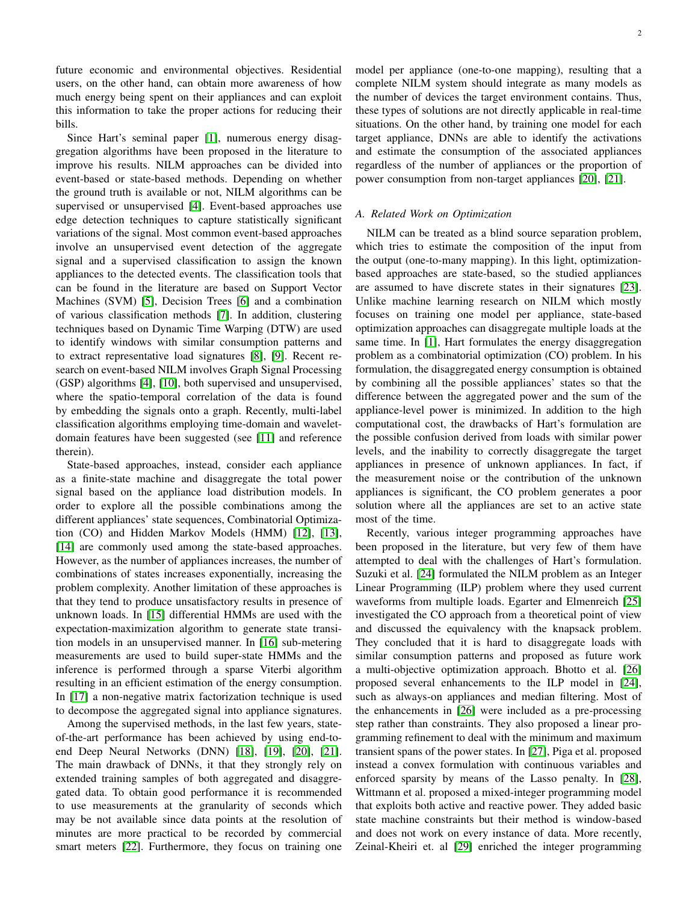future economic and environmental objectives. Residential users, on the other hand, can obtain more awareness of how much energy being spent on their appliances and can exploit this information to take the proper actions for reducing their bills.

Since Hart's seminal paper [\[1\]](#page-11-0), numerous energy disaggregation algorithms have been proposed in the literature to improve his results. NILM approaches can be divided into event-based or state-based methods. Depending on whether the ground truth is available or not, NILM algorithms can be supervised or unsupervised [\[4\]](#page-11-3). Event-based approaches use edge detection techniques to capture statistically significant variations of the signal. Most common event-based approaches involve an unsupervised event detection of the aggregate signal and a supervised classification to assign the known appliances to the detected events. The classification tools that can be found in the literature are based on Support Vector Machines (SVM) [\[5\]](#page-11-4), Decision Trees [\[6\]](#page-11-5) and a combination of various classification methods [\[7\]](#page-11-6). In addition, clustering techniques based on Dynamic Time Warping (DTW) are used to identify windows with similar consumption patterns and to extract representative load signatures [\[8\]](#page-11-7), [\[9\]](#page-11-8). Recent research on event-based NILM involves Graph Signal Processing (GSP) algorithms [\[4\]](#page-11-3), [\[10\]](#page-11-9), both supervised and unsupervised, where the spatio-temporal correlation of the data is found by embedding the signals onto a graph. Recently, multi-label classification algorithms employing time-domain and waveletdomain features have been suggested (see [\[11\]](#page-11-10) and reference therein).

State-based approaches, instead, consider each appliance as a finite-state machine and disaggregate the total power signal based on the appliance load distribution models. In order to explore all the possible combinations among the different appliances' state sequences, Combinatorial Optimization (CO) and Hidden Markov Models (HMM) [\[12\]](#page-11-11), [\[13\]](#page-11-12), [\[14\]](#page-11-13) are commonly used among the state-based approaches. However, as the number of appliances increases, the number of combinations of states increases exponentially, increasing the problem complexity. Another limitation of these approaches is that they tend to produce unsatisfactory results in presence of unknown loads. In [\[15\]](#page-11-14) differential HMMs are used with the expectation-maximization algorithm to generate state transition models in an unsupervised manner. In [\[16\]](#page-11-15) sub-metering measurements are used to build super-state HMMs and the inference is performed through a sparse Viterbi algorithm resulting in an efficient estimation of the energy consumption. In [\[17\]](#page-13-0) a non-negative matrix factorization technique is used to decompose the aggregated signal into appliance signatures.

Among the supervised methods, in the last few years, stateof-the-art performance has been achieved by using end-toend Deep Neural Networks (DNN) [\[18\]](#page-13-1), [\[19\]](#page-13-2), [\[20\]](#page-13-3), [\[21\]](#page-13-4). The main drawback of DNNs, it that they strongly rely on extended training samples of both aggregated and disaggregated data. To obtain good performance it is recommended to use measurements at the granularity of seconds which may be not available since data points at the resolution of minutes are more practical to be recorded by commercial smart meters [\[22\]](#page-13-5). Furthermore, they focus on training one model per appliance (one-to-one mapping), resulting that a complete NILM system should integrate as many models as the number of devices the target environment contains. Thus, these types of solutions are not directly applicable in real-time situations. On the other hand, by training one model for each target appliance, DNNs are able to identify the activations and estimate the consumption of the associated appliances regardless of the number of appliances or the proportion of power consumption from non-target appliances [\[20\]](#page-13-3), [\[21\]](#page-13-4).

# *A. Related Work on Optimization*

NILM can be treated as a blind source separation problem, which tries to estimate the composition of the input from the output (one-to-many mapping). In this light, optimizationbased approaches are state-based, so the studied appliances are assumed to have discrete states in their signatures [\[23\]](#page-13-6). Unlike machine learning research on NILM which mostly focuses on training one model per appliance, state-based optimization approaches can disaggregate multiple loads at the same time. In [\[1\]](#page-11-0), Hart formulates the energy disaggregation problem as a combinatorial optimization (CO) problem. In his formulation, the disaggregated energy consumption is obtained by combining all the possible appliances' states so that the difference between the aggregated power and the sum of the appliance-level power is minimized. In addition to the high computational cost, the drawbacks of Hart's formulation are the possible confusion derived from loads with similar power levels, and the inability to correctly disaggregate the target appliances in presence of unknown appliances. In fact, if the measurement noise or the contribution of the unknown appliances is significant, the CO problem generates a poor solution where all the appliances are set to an active state most of the time.

Recently, various integer programming approaches have been proposed in the literature, but very few of them have attempted to deal with the challenges of Hart's formulation. Suzuki et al. [\[24\]](#page-13-7) formulated the NILM problem as an Integer Linear Programming (ILP) problem where they used current waveforms from multiple loads. Egarter and Elmenreich [\[25\]](#page-13-8) investigated the CO approach from a theoretical point of view and discussed the equivalency with the knapsack problem. They concluded that it is hard to disaggregate loads with similar consumption patterns and proposed as future work a multi-objective optimization approach. Bhotto et al. [\[26\]](#page-13-9) proposed several enhancements to the ILP model in [\[24\]](#page-13-7), such as always-on appliances and median filtering. Most of the enhancements in [\[26\]](#page-13-9) were included as a pre-processing step rather than constraints. They also proposed a linear programming refinement to deal with the minimum and maximum transient spans of the power states. In [\[27\]](#page-13-10), Piga et al. proposed instead a convex formulation with continuous variables and enforced sparsity by means of the Lasso penalty. In [\[28\]](#page-13-11), Wittmann et al. proposed a mixed-integer programming model that exploits both active and reactive power. They added basic state machine constraints but their method is window-based and does not work on every instance of data. More recently, Zeinal-Kheiri et. al [\[29\]](#page-13-12) enriched the integer programming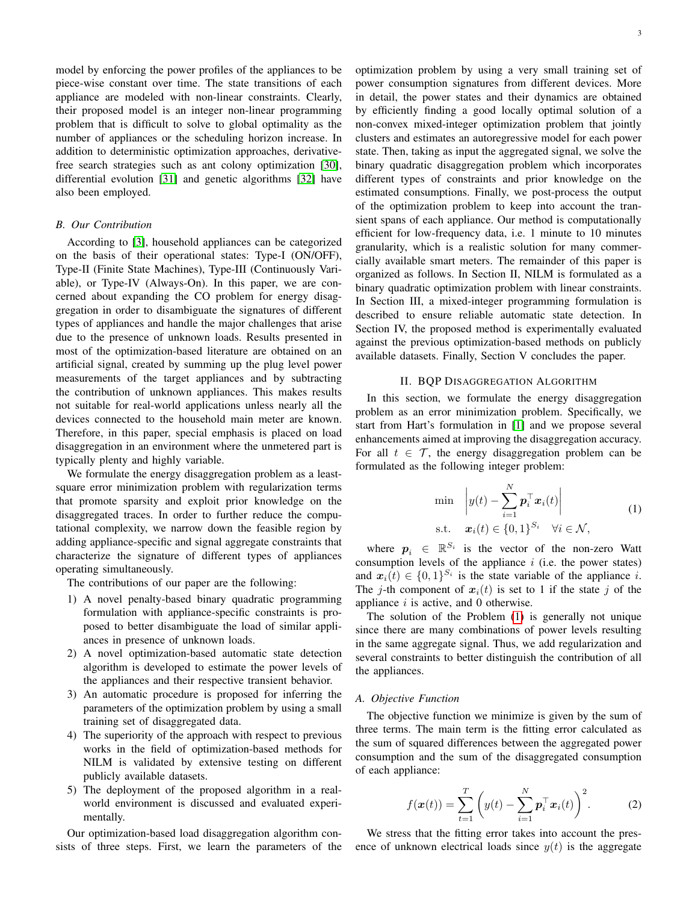model by enforcing the power profiles of the appliances to be piece-wise constant over time. The state transitions of each appliance are modeled with non-linear constraints. Clearly, their proposed model is an integer non-linear programming problem that is difficult to solve to global optimality as the number of appliances or the scheduling horizon increase. In addition to deterministic optimization approaches, derivativefree search strategies such as ant colony optimization [\[30\]](#page-13-13), differential evolution [\[31\]](#page-13-14) and genetic algorithms [\[32\]](#page-13-15) have also been employed.

# *B. Our Contribution*

According to [\[3\]](#page-11-2), household appliances can be categorized on the basis of their operational states: Type-I (ON/OFF), Type-II (Finite State Machines), Type-III (Continuously Variable), or Type-IV (Always-On). In this paper, we are concerned about expanding the CO problem for energy disaggregation in order to disambiguate the signatures of different types of appliances and handle the major challenges that arise due to the presence of unknown loads. Results presented in most of the optimization-based literature are obtained on an artificial signal, created by summing up the plug level power measurements of the target appliances and by subtracting the contribution of unknown appliances. This makes results not suitable for real-world applications unless nearly all the devices connected to the household main meter are known. Therefore, in this paper, special emphasis is placed on load disaggregation in an environment where the unmetered part is typically plenty and highly variable.

We formulate the energy disaggregation problem as a leastsquare error minimization problem with regularization terms that promote sparsity and exploit prior knowledge on the disaggregated traces. In order to further reduce the computational complexity, we narrow down the feasible region by adding appliance-specific and signal aggregate constraints that characterize the signature of different types of appliances operating simultaneously.

The contributions of our paper are the following:

- 1) A novel penalty-based binary quadratic programming formulation with appliance-specific constraints is proposed to better disambiguate the load of similar appliances in presence of unknown loads.
- 2) A novel optimization-based automatic state detection algorithm is developed to estimate the power levels of the appliances and their respective transient behavior.
- 3) An automatic procedure is proposed for inferring the parameters of the optimization problem by using a small training set of disaggregated data.
- 4) The superiority of the approach with respect to previous works in the field of optimization-based methods for NILM is validated by extensive testing on different publicly available datasets.
- 5) The deployment of the proposed algorithm in a realworld environment is discussed and evaluated experimentally.

Our optimization-based load disaggregation algorithm consists of three steps. First, we learn the parameters of the optimization problem by using a very small training set of power consumption signatures from different devices. More in detail, the power states and their dynamics are obtained by efficiently finding a good locally optimal solution of a non-convex mixed-integer optimization problem that jointly clusters and estimates an autoregressive model for each power state. Then, taking as input the aggregated signal, we solve the binary quadratic disaggregation problem which incorporates different types of constraints and prior knowledge on the estimated consumptions. Finally, we post-process the output of the optimization problem to keep into account the transient spans of each appliance. Our method is computationally efficient for low-frequency data, i.e. 1 minute to 10 minutes granularity, which is a realistic solution for many commercially available smart meters. The remainder of this paper is organized as follows. In Section II, NILM is formulated as a binary quadratic optimization problem with linear constraints. In Section III, a mixed-integer programming formulation is described to ensure reliable automatic state detection. In Section IV, the proposed method is experimentally evaluated against the previous optimization-based methods on publicly available datasets. Finally, Section V concludes the paper.

# II. BQP DISAGGREGATION ALGORITHM

In this section, we formulate the energy disaggregation problem as an error minimization problem. Specifically, we start from Hart's formulation in [\[1\]](#page-11-0) and we propose several enhancements aimed at improving the disaggregation accuracy. For all  $t \in \mathcal{T}$ , the energy disaggregation problem can be formulated as the following integer problem:

<span id="page-2-0"></span>
$$
\min \quad \left| y(t) - \sum_{i=1}^{N} \boldsymbol{p}_i^{\top} \boldsymbol{x}_i(t) \right|
$$
\n
$$
\text{s.t.} \quad \boldsymbol{x}_i(t) \in \{0, 1\}^{S_i} \quad \forall i \in \mathcal{N}, \tag{1}
$$

where  $p_i \in \mathbb{R}^{S_i}$  is the vector of the non-zero Watt consumption levels of the appliance  $i$  (i.e. the power states) and  $x_i(t) \in \{0,1\}^{S_i}$  is the state variable of the appliance i. The j-th component of  $x_i(t)$  is set to 1 if the state j of the appliance  $i$  is active, and 0 otherwise.

The solution of the Problem [\(1\)](#page-2-0) is generally not unique since there are many combinations of power levels resulting in the same aggregate signal. Thus, we add regularization and several constraints to better distinguish the contribution of all the appliances.

# *A. Objective Function*

The objective function we minimize is given by the sum of three terms. The main term is the fitting error calculated as the sum of squared differences between the aggregated power consumption and the sum of the disaggregated consumption of each appliance:

<span id="page-2-1"></span>
$$
f(\boldsymbol{x}(t)) = \sum_{t=1}^{T} \left( y(t) - \sum_{i=1}^{N} \boldsymbol{p}_i^{\top} \boldsymbol{x}_i(t) \right)^2.
$$
 (2)

We stress that the fitting error takes into account the presence of unknown electrical loads since  $y(t)$  is the aggregate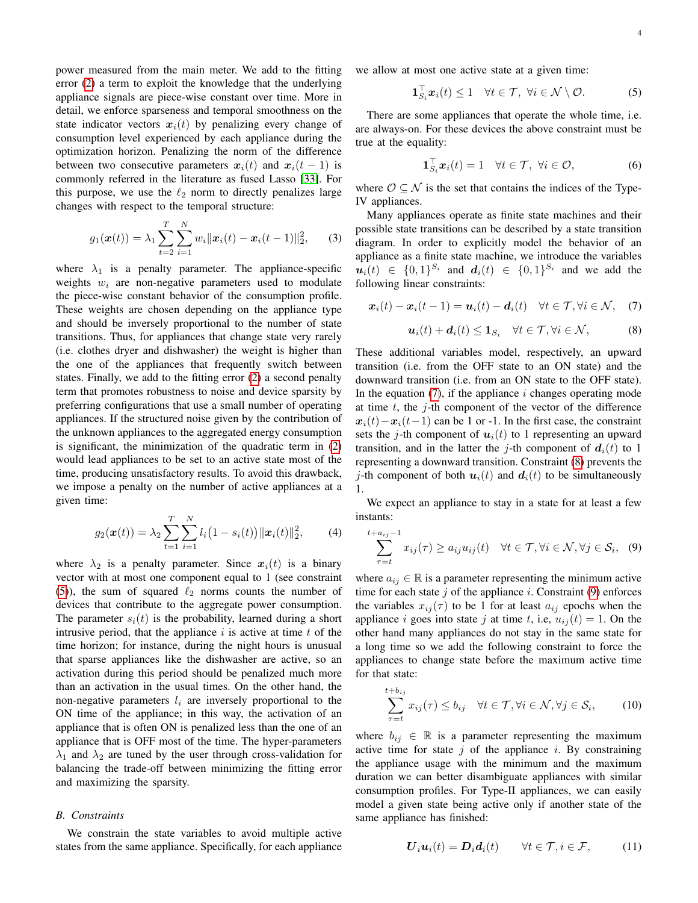power measured from the main meter. We add to the fitting error [\(2\)](#page-2-1) a term to exploit the knowledge that the underlying appliance signals are piece-wise constant over time. More in detail, we enforce sparseness and temporal smoothness on the state indicator vectors  $x_i(t)$  by penalizing every change of consumption level experienced by each appliance during the optimization horizon. Penalizing the norm of the difference between two consecutive parameters  $x_i(t)$  and  $x_i(t - 1)$  is commonly referred in the literature as fused Lasso [\[33\]](#page-13-16). For this purpose, we use the  $\ell_2$  norm to directly penalizes large changes with respect to the temporal structure:

$$
g_1(\boldsymbol{x}(t)) = \lambda_1 \sum_{t=2}^T \sum_{i=1}^N w_i ||\boldsymbol{x}_i(t) - \boldsymbol{x}_i(t-1)||_2^2, \qquad (3)
$$

where  $\lambda_1$  is a penalty parameter. The appliance-specific weights  $w_i$  are non-negative parameters used to modulate the piece-wise constant behavior of the consumption profile. These weights are chosen depending on the appliance type and should be inversely proportional to the number of state transitions. Thus, for appliances that change state very rarely (i.e. clothes dryer and dishwasher) the weight is higher than the one of the appliances that frequently switch between states. Finally, we add to the fitting error [\(2\)](#page-2-1) a second penalty term that promotes robustness to noise and device sparsity by preferring configurations that use a small number of operating appliances. If the structured noise given by the contribution of the unknown appliances to the aggregated energy consumption is significant, the minimization of the quadratic term in [\(2\)](#page-2-1) would lead appliances to be set to an active state most of the time, producing unsatisfactory results. To avoid this drawback, we impose a penalty on the number of active appliances at a given time:

$$
g_2(\boldsymbol{x}(t)) = \lambda_2 \sum_{t=1}^T \sum_{i=1}^N l_i (1 - s_i(t)) ||\boldsymbol{x}_i(t)||_2^2, \qquad (4)
$$

where  $\lambda_2$  is a penalty parameter. Since  $x_i(t)$  is a binary vector with at most one component equal to 1 (see constraint [\(5\)](#page-3-0)), the sum of squared  $\ell_2$  norms counts the number of devices that contribute to the aggregate power consumption. The parameter  $s_i(t)$  is the probability, learned during a short intrusive period, that the appliance  $i$  is active at time  $t$  of the time horizon; for instance, during the night hours is unusual that sparse appliances like the dishwasher are active, so an activation during this period should be penalized much more than an activation in the usual times. On the other hand, the non-negative parameters  $l_i$  are inversely proportional to the ON time of the appliance; in this way, the activation of an appliance that is often ON is penalized less than the one of an appliance that is OFF most of the time. The hyper-parameters  $\lambda_1$  and  $\lambda_2$  are tuned by the user through cross-validation for balancing the trade-off between minimizing the fitting error and maximizing the sparsity.

# *B. Constraints*

We constrain the state variables to avoid multiple active states from the same appliance. Specifically, for each appliance we allow at most one active state at a given time:

<span id="page-3-0"></span>
$$
\mathbf{1}_{S_i}^{\top} \mathbf{x}_i(t) \leq 1 \quad \forall t \in \mathcal{T}, \ \forall i \in \mathcal{N} \setminus \mathcal{O}.
$$
 (5)

There are some appliances that operate the whole time, i.e. are always-on. For these devices the above constraint must be true at the equality:

$$
\mathbf{1}_{S_i}^{\top} \boldsymbol{x}_i(t) = 1 \quad \forall t \in \mathcal{T}, \ \forall i \in \mathcal{O}, \tag{6}
$$

where  $\mathcal{O} \subseteq \mathcal{N}$  is the set that contains the indices of the Type-IV appliances.

Many appliances operate as finite state machines and their possible state transitions can be described by a state transition diagram. In order to explicitly model the behavior of an appliance as a finite state machine, we introduce the variables  $u_i(t) \in \{0,1\}^{S_i}$  and  $d_i(t) \in \{0,1\}^{S_i}$  and we add the following linear constraints:

<span id="page-3-1"></span>
$$
\boldsymbol{x}_i(t) - \boldsymbol{x}_i(t-1) = \boldsymbol{u}_i(t) - \boldsymbol{d}_i(t) \quad \forall t \in \mathcal{T}, \forall i \in \mathcal{N}, \quad (7)
$$

<span id="page-3-2"></span>
$$
\boldsymbol{u}_i(t) + \boldsymbol{d}_i(t) \leq \mathbf{1}_{S_i} \quad \forall t \in \mathcal{T}, \forall i \in \mathcal{N}, \tag{8}
$$

These additional variables model, respectively, an upward transition (i.e. from the OFF state to an ON state) and the downward transition (i.e. from an ON state to the OFF state). In the equation  $(7)$ , if the appliance i changes operating mode at time  $t$ , the  $j$ -th component of the vector of the difference  $x_i(t)-x_i(t-1)$  can be 1 or -1. In the first case, the constraint sets the j-th component of  $u_i(t)$  to 1 representing an upward transition, and in the latter the *j*-th component of  $d_i(t)$  to 1 representing a downward transition. Constraint [\(8\)](#page-3-2) prevents the *j*-th component of both  $u_i(t)$  and  $d_i(t)$  to be simultaneously 1.

We expect an appliance to stay in a state for at least a few instants:

<span id="page-3-3"></span>
$$
\sum_{\tau=t}^{t+a_{ij}-1} x_{ij}(\tau) \ge a_{ij} u_{ij}(t) \quad \forall t \in \mathcal{T}, \forall i \in \mathcal{N}, \forall j \in \mathcal{S}_i, \quad (9)
$$

where  $a_{ij} \in \mathbb{R}$  is a parameter representing the minimum active time for each state  $j$  of the appliance  $i$ . Constraint [\(9\)](#page-3-3) enforces the variables  $x_{ij}(\tau)$  to be 1 for at least  $a_{ij}$  epochs when the appliance i goes into state j at time t, i.e,  $u_{ij}(t) = 1$ . On the other hand many appliances do not stay in the same state for a long time so we add the following constraint to force the appliances to change state before the maximum active time for that state:

$$
\sum_{\tau=t}^{t+b_{ij}} x_{ij}(\tau) \le b_{ij} \quad \forall t \in \mathcal{T}, \forall i \in \mathcal{N}, \forall j \in \mathcal{S}_i,
$$
 (10)

where  $b_{ij} \in \mathbb{R}$  is a parameter representing the maximum active time for state  $j$  of the appliance  $i$ . By constraining the appliance usage with the minimum and the maximum duration we can better disambiguate appliances with similar consumption profiles. For Type-II appliances, we can easily model a given state being active only if another state of the same appliance has finished:

$$
\boldsymbol{U}_i \boldsymbol{u}_i(t) = \boldsymbol{D}_i \boldsymbol{d}_i(t) \qquad \forall t \in \mathcal{T}, i \in \mathcal{F}, \tag{11}
$$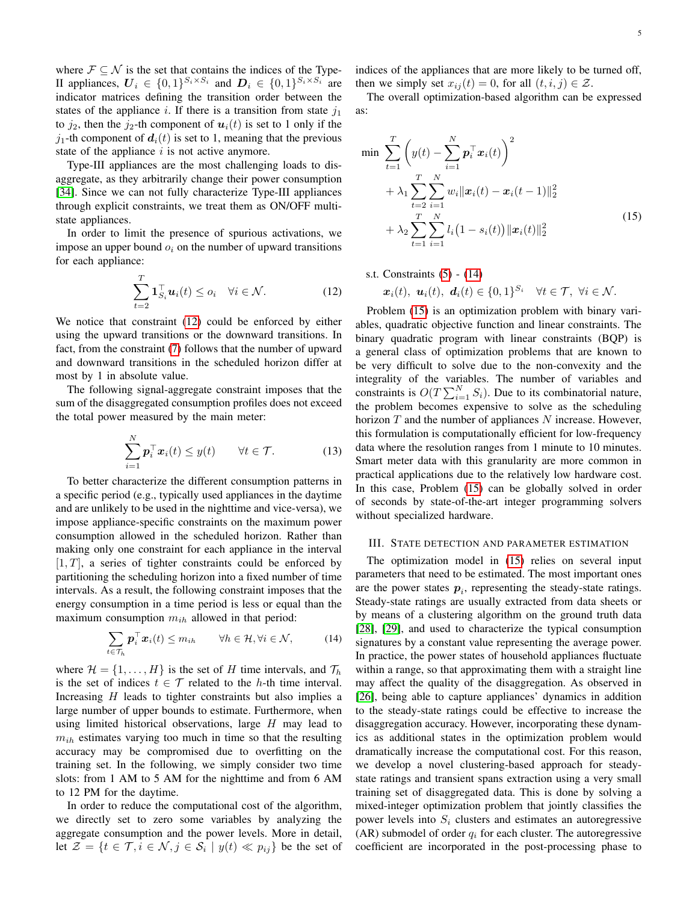where  $\mathcal{F} \subseteq \mathcal{N}$  is the set that contains the indices of the Type-II appliances,  $\mathbf{U}_i \in \{0,1\}^{S_i \times S_i}$  and  $\mathbf{D}_i \in \{0,1\}^{S_i \times S_i}$  are indicator matrices defining the transition order between the states of the appliance i. If there is a transition from state  $j_1$ to  $j_2$ , then the  $j_2$ -th component of  $u_i(t)$  is set to 1 only if the  $j_1$ -th component of  $d_i(t)$  is set to 1, meaning that the previous state of the appliance  $i$  is not active anymore.

Type-III appliances are the most challenging loads to disaggregate, as they arbitrarily change their power consumption [\[34\]](#page-13-17). Since we can not fully characterize Type-III appliances through explicit constraints, we treat them as ON/OFF multistate appliances.

In order to limit the presence of spurious activations, we impose an upper bound  $o_i$  on the number of upward transitions for each appliance:

<span id="page-4-0"></span>
$$
\sum_{t=2}^{T} \mathbf{1}_{S_i}^{\top} \boldsymbol{u}_i(t) \le o_i \quad \forall i \in \mathcal{N}.
$$
 (12)

We notice that constraint [\(12\)](#page-4-0) could be enforced by either using the upward transitions or the downward transitions. In fact, from the constraint [\(7\)](#page-3-1) follows that the number of upward and downward transitions in the scheduled horizon differ at most by 1 in absolute value.

The following signal-aggregate constraint imposes that the sum of the disaggregated consumption profiles does not exceed the total power measured by the main meter:

$$
\sum_{i=1}^{N} \boldsymbol{p}_i^{\top} \boldsymbol{x}_i(t) \leq y(t) \qquad \forall t \in \mathcal{T}.
$$
 (13)

To better characterize the different consumption patterns in a specific period (e.g., typically used appliances in the daytime and are unlikely to be used in the nighttime and vice-versa), we impose appliance-specific constraints on the maximum power consumption allowed in the scheduled horizon. Rather than making only one constraint for each appliance in the interval  $[1, T]$ , a series of tighter constraints could be enforced by partitioning the scheduling horizon into a fixed number of time intervals. As a result, the following constraint imposes that the energy consumption in a time period is less or equal than the maximum consumption  $m_{ih}$  allowed in that period:

<span id="page-4-1"></span>
$$
\sum_{t \in \mathcal{T}_h} \boldsymbol{p}_i^\top \boldsymbol{x}_i(t) \le m_{ih} \qquad \forall h \in \mathcal{H}, \forall i \in \mathcal{N}, \tag{14}
$$

where  $\mathcal{H} = \{1, \ldots, H\}$  is the set of H time intervals, and  $\mathcal{T}_h$ is the set of indices  $t \in \mathcal{T}$  related to the h-th time interval. Increasing  $H$  leads to tighter constraints but also implies a large number of upper bounds to estimate. Furthermore, when using limited historical observations, large  $H$  may lead to  $m_{ih}$  estimates varying too much in time so that the resulting accuracy may be compromised due to overfitting on the training set. In the following, we simply consider two time slots: from 1 AM to 5 AM for the nighttime and from 6 AM to 12 PM for the daytime.

In order to reduce the computational cost of the algorithm, we directly set to zero some variables by analyzing the aggregate consumption and the power levels. More in detail, let  $\mathcal{Z} = \{t \in \mathcal{T}, i \in \mathcal{N}, j \in \mathcal{S}_i \mid y(t) \ll p_{ij}\}\$ be the set of indices of the appliances that are more likely to be turned off, then we simply set  $x_{ij}(t) = 0$ , for all  $(t, i, j) \in \mathcal{Z}$ .

The overall optimization-based algorithm can be expressed as:

$$
\min \sum_{t=1}^{T} \left( y(t) - \sum_{i=1}^{N} \mathbf{p}_i^{\top} \mathbf{x}_i(t) \right)^2 + \lambda_1 \sum_{t=2}^{T} \sum_{i=1}^{N} w_i ||\mathbf{x}_i(t) - \mathbf{x}_i(t-1)||_2^2 + \lambda_2 \sum_{t=1}^{T} \sum_{i=1}^{N} l_i (1 - s_i(t)) ||\mathbf{x}_i(t)||_2^2
$$
\n(15)

<span id="page-4-2"></span>s.t. Constraints [\(5\)](#page-3-0) - [\(14\)](#page-4-1)

$$
\boldsymbol{x}_i(t), \ \boldsymbol{u}_i(t), \ \boldsymbol{d}_i(t) \in \{0,1\}^{S_i} \quad \forall t \in \mathcal{T}, \ \forall i \in \mathcal{N}.
$$

Problem [\(15\)](#page-4-2) is an optimization problem with binary variables, quadratic objective function and linear constraints. The binary quadratic program with linear constraints (BQP) is a general class of optimization problems that are known to be very difficult to solve due to the non-convexity and the integrality of the variables. The number of variables and constraints is  $O(T \sum_{i=1}^{N} S_i)$ . Due to its combinatorial nature, the problem becomes expensive to solve as the scheduling horizon  $T$  and the number of appliances  $N$  increase. However, this formulation is computationally efficient for low-frequency data where the resolution ranges from 1 minute to 10 minutes. Smart meter data with this granularity are more common in practical applications due to the relatively low hardware cost. In this case, Problem [\(15\)](#page-4-2) can be globally solved in order of seconds by state-of-the-art integer programming solvers without specialized hardware.

## III. STATE DETECTION AND PARAMETER ESTIMATION

The optimization model in [\(15\)](#page-4-2) relies on several input parameters that need to be estimated. The most important ones are the power states  $p_i$ , representing the steady-state ratings. Steady-state ratings are usually extracted from data sheets or by means of a clustering algorithm on the ground truth data [\[28\]](#page-13-11), [\[29\]](#page-13-12), and used to characterize the typical consumption signatures by a constant value representing the average power. In practice, the power states of household appliances fluctuate within a range, so that approximating them with a straight line may affect the quality of the disaggregation. As observed in [\[26\]](#page-13-9), being able to capture appliances' dynamics in addition to the steady-state ratings could be effective to increase the disaggregation accuracy. However, incorporating these dynamics as additional states in the optimization problem would dramatically increase the computational cost. For this reason, we develop a novel clustering-based approach for steadystate ratings and transient spans extraction using a very small training set of disaggregated data. This is done by solving a mixed-integer optimization problem that jointly classifies the power levels into  $S_i$  clusters and estimates an autoregressive (AR) submodel of order  $q_i$  for each cluster. The autoregressive coefficient are incorporated in the post-processing phase to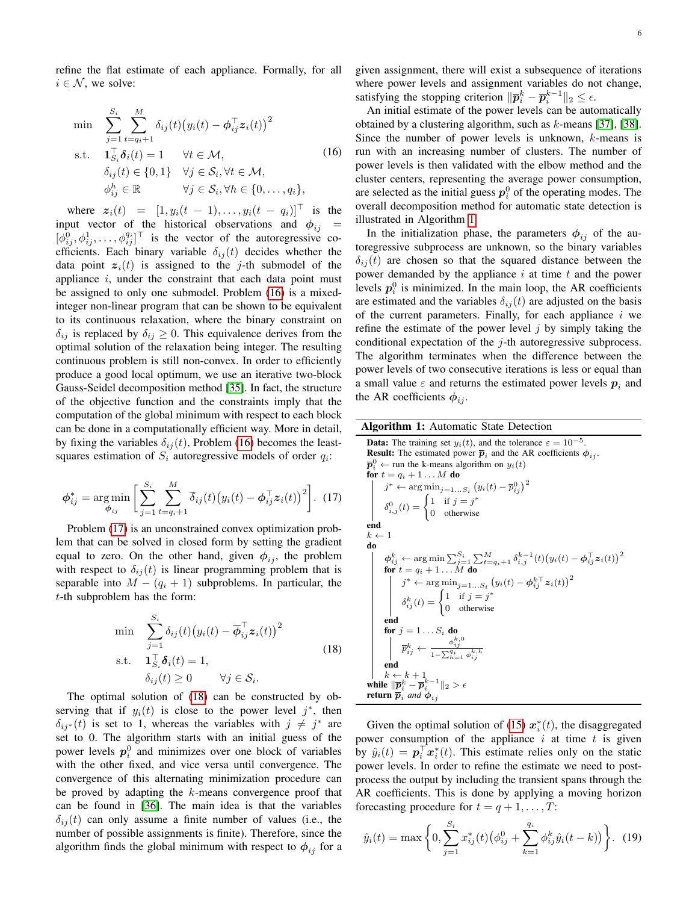refine the flat estimate of each appliance. Formally, for all  $i \in \mathcal{N}$ , we solve:

<span id="page-5-0"></span>
$$
\min \sum_{j=1}^{S_i} \sum_{t=q_i+1}^{M} \delta_{ij}(t) (y_i(t) - \phi_{ij}^{\top} \mathbf{z}_i(t))^2
$$
\n
$$
\text{s.t.} \quad \mathbf{1}_{S_i}^{\top} \delta_i(t) = 1 \qquad \forall t \in \mathcal{M},
$$
\n
$$
\delta_{ij}(t) \in \{0, 1\} \quad \forall j \in \mathcal{S}_i, \forall t \in \mathcal{M},
$$
\n
$$
\phi_{ij}^h \in \mathbb{R} \qquad \forall j \in \mathcal{S}_i, \forall h \in \{0, \dots, q_i\},
$$
\n(16)

where  $z_i(t) = [1, y_i(t - 1), \dots, y_i(t - q_i)]^{\top}$  is the input vector of the historical observations and  $\phi_{ij}$  =  $[\phi_{ij}^0, \phi_{ij}^1, \dots, \phi_{ij}^{q_i}]^\top$  is the vector of the autoregressive coefficients. Each binary variable  $\delta_{ij}(t)$  decides whether the data point  $z_i(t)$  is assigned to the j-th submodel of the appliance  $i$ , under the constraint that each data point must be assigned to only one submodel. Problem [\(16\)](#page-5-0) is a mixedinteger non-linear program that can be shown to be equivalent to its continuous relaxation, where the binary constraint on  $\delta_{ij}$  is replaced by  $\delta_{ij} \geq 0$ . This equivalence derives from the optimal solution of the relaxation being integer. The resulting continuous problem is still non-convex. In order to efficiently produce a good local optimum, we use an iterative two-block Gauss-Seidel decomposition method [\[35\]](#page-13-18). In fact, the structure of the objective function and the constraints imply that the computation of the global minimum with respect to each block can be done in a computationally efficient way. More in detail, by fixing the variables  $\delta_{ij}(t)$ , Problem [\(16\)](#page-5-0) becomes the leastsquares estimation of  $S_i$  autoregressive models of order  $q_i$ :

$$
\phi_{ij}^* = \underset{\phi_{ij}}{\arg \min} \left[ \sum_{j=1}^{S_i} \sum_{t=q_i+1}^{M} \overline{\delta}_{ij}(t) (y_i(t) - \phi_{ij}^\top z_i(t))^2 \right]. \tag{17}
$$

Problem [\(17\)](#page-5-1) is an unconstrained convex optimization problem that can be solved in closed form by setting the gradient equal to zero. On the other hand, given  $\phi_{ij}$ , the problem with respect to  $\delta_{ij}(t)$  is linear programming problem that is separable into  $M - (q_i + 1)$  subproblems. In particular, the t-th subproblem has the form:

<span id="page-5-2"></span>
$$
\min \sum_{j=1}^{S_i} \delta_{ij}(t) (y_i(t) - \overline{\phi}_{ij}^{\top} \mathbf{z}_i(t))^2
$$
\n
$$
\text{s.t.} \quad \mathbf{1}_{S_i}^{\top} \delta_i(t) = 1,
$$
\n
$$
\delta_{ij}(t) \ge 0 \qquad \forall j \in S_i.
$$
\n
$$
(18)
$$

The optimal solution of [\(18\)](#page-5-2) can be constructed by observing that if  $y_i(t)$  is close to the power level  $j^*$ , then  $\delta_{ij}$ <sup>\*</sup> (t) is set to 1, whereas the variables with  $j \neq j^*$  are set to 0. The algorithm starts with an initial guess of the power levels  $p_i^0$  and minimizes over one block of variables with the other fixed, and vice versa until convergence. The convergence of this alternating minimization procedure can be proved by adapting the  $k$ -means convergence proof that can be found in [\[36\]](#page-13-19). The main idea is that the variables  $\delta_{ij}(t)$  can only assume a finite number of values (i.e., the number of possible assignments is finite). Therefore, since the algorithm finds the global minimum with respect to  $\phi_{ij}$  for a given assignment, there will exist a subsequence of iterations where power levels and assignment variables do not change, satisfying the stopping criterion  $\|\overline{p}_i^k - \overline{p}_i^{k-1}\|_2 \leq \epsilon$ .

An initial estimate of the power levels can be automatically obtained by a clustering algorithm, such as  $k$ -means [\[37\]](#page-13-20), [\[38\]](#page-13-21). Since the number of power levels is unknown,  $k$ -means is run with an increasing number of clusters. The number of power levels is then validated with the elbow method and the cluster centers, representing the average power consumption, are selected as the initial guess  $p_i^0$  of the operating modes. The overall decomposition method for automatic state detection is illustrated in Algorithm [1.](#page-5-3)

In the initialization phase, the parameters  $\phi_{ij}$  of the autoregressive subprocess are unknown, so the binary variables  $\delta_{ij}(t)$  are chosen so that the squared distance between the power demanded by the appliance  $i$  at time  $t$  and the power levels  $p_i^0$  is minimized. In the main loop, the AR coefficients are estimated and the variables  $\delta_{ij}(t)$  are adjusted on the basis of the current parameters. Finally, for each appliance  $i$  we refine the estimate of the power level  $j$  by simply taking the conditional expectation of the  $j$ -th autoregressive subprocess. The algorithm terminates when the difference between the power levels of two consecutive iterations is less or equal than a small value  $\varepsilon$  and returns the estimated power levels  $p_i$  and the AR coefficients  $\phi_{ij}$ .

<span id="page-5-3"></span>

| <b>Algorithm 1:</b> Automatic State Detection |  |  |  |  |
|-----------------------------------------------|--|--|--|--|
|-----------------------------------------------|--|--|--|--|

<span id="page-5-1"></span>**Data:** The training set 
$$
y_i(t)
$$
, and the tolerance  $\varepsilon = 10^{-5}$ . **Result:** The estimated power  $\bar{p}_i$  and the AR coefficients  $\phi_{ij}$ .  $\bar{p}_i^0 \leftarrow$  run the k-means algorithm on  $y_i(t)$  for  $t = q_i + 1 \ldots M$  do  $j^* \leftarrow \arg \min_{j=1...S_i} (y_i(t) - \bar{p}_{ij}^0)^2$   $\delta_{i,j}^0(t) = \begin{cases} 1 & \text{if } j = j^* \\ 0 & \text{otherwise} \end{cases}$  **end**  $k \leftarrow 1$  **do**  $\phi_{ij}^k \leftarrow \arg \min \sum_{j=1}^{S_i} \sum_{t=q_i+1}^M \delta_{i,j}^{k-1}(t) (y_i(t) - \phi_{ij}^\top z_i(t))^2$  for  $t = q_i + 1 \ldots M$  do  $j^* \leftarrow \arg \min_{j=1...S_i} (y_i(t) - \phi_{ij}^{k-1} z_i(t))^2$   $\delta_{ij}^k(t) = \begin{cases} 1 & \text{if } j = j^* \\ 0 & \text{otherwise} \end{cases}$  **end for**  $j = 1 \ldots S_i$  **do**  $\bar{p}_{ij}^k \leftarrow \frac{\phi_{ij}^{k,0}}{1 - \sum_{i=1}^{q_i} \phi_{ij}^{k,h}}$  **end**  $k \leftarrow k + 1$  **while**  $\|\bar{p}_i^k - \bar{p}_i^{k-1}\|_2 > \epsilon$  **return**  $\bar{p}_i$  and  $\phi_{ij}$ 

Given the optimal solution of [\(15\)](#page-4-2)  $x_i^*(t)$ , the disaggregated power consumption of the appliance  $i$  at time  $t$  is given by  $\hat{y}_i(t) = \boldsymbol{p}_i^{\top} \boldsymbol{x}_i^*(t)$ . This estimate relies only on the static power levels. In order to refine the estimate we need to postprocess the output by including the transient spans through the AR coefficients. This is done by applying a moving horizon forecasting procedure for  $t = q + 1, \ldots, T$ :

<span id="page-5-4"></span>
$$
\hat{y}_i(t) = \max\left\{0, \sum_{j=1}^{S_i} x_{ij}^*(t) \left(\phi_{ij}^0 + \sum_{k=1}^{q_i} \phi_{ij}^k \hat{y}_i(t-k)\right)\right\}.
$$
 (19)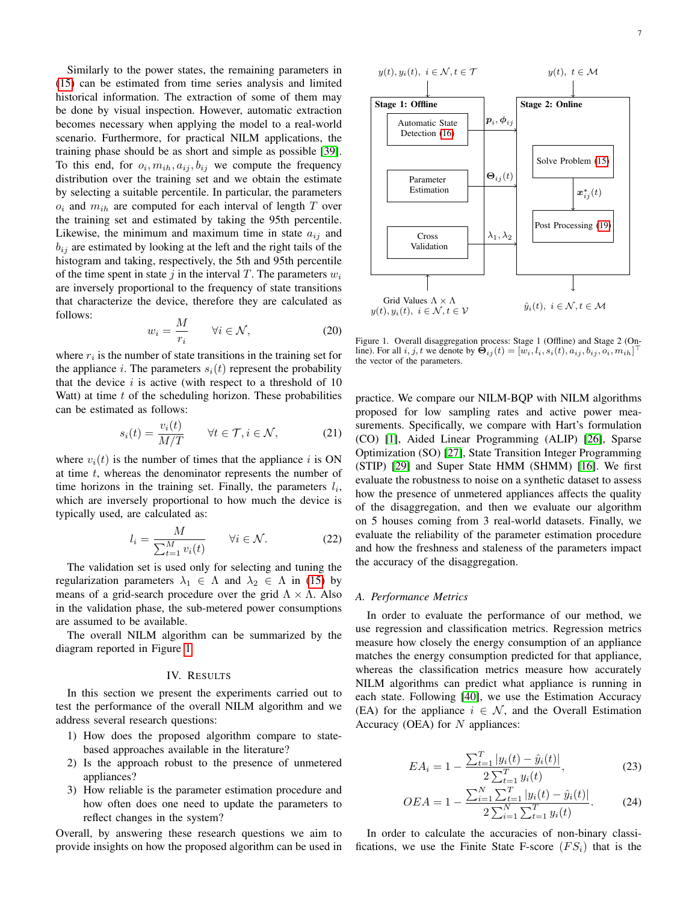Similarly to the power states, the remaining parameters in [\(15\)](#page-4-2) can be estimated from time series analysis and limited historical information. The extraction of some of them may be done by visual inspection. However, automatic extraction becomes necessary when applying the model to a real-world scenario. Furthermore, for practical NILM applications, the training phase should be as short and simple as possible [\[39\]](#page-13-22). To this end, for  $o_i, m_{ih}, a_{ij}, b_{ij}$  we compute the frequency distribution over the training set and we obtain the estimate by selecting a suitable percentile. In particular, the parameters  $o_i$  and  $m_{ih}$  are computed for each interval of length T over the training set and estimated by taking the 95th percentile. Likewise, the minimum and maximum time in state  $a_{ij}$  and  $b_{ij}$  are estimated by looking at the left and the right tails of the histogram and taking, respectively, the 5th and 95th percentile of the time spent in state j in the interval T. The parameters  $w_i$ are inversely proportional to the frequency of state transitions that characterize the device, therefore they are calculated as follows:

$$
w_i = \frac{M}{r_i} \qquad \forall i \in \mathcal{N}, \tag{20}
$$

where  $r_i$  is the number of state transitions in the training set for the appliance i. The parameters  $s_i(t)$  represent the probability that the device  $i$  is active (with respect to a threshold of 10 Watt) at time  $t$  of the scheduling horizon. These probabilities can be estimated as follows:

$$
s_i(t) = \frac{v_i(t)}{M/T} \qquad \forall t \in \mathcal{T}, i \in \mathcal{N}, \tag{21}
$$

where  $v_i(t)$  is the number of times that the appliance i is ON at time  $t$ , whereas the denominator represents the number of time horizons in the training set. Finally, the parameters  $l_i$ , which are inversely proportional to how much the device is typically used, are calculated as:

$$
l_i = \frac{M}{\sum_{t=1}^{M} v_i(t)} \qquad \forall i \in \mathcal{N}.
$$
 (22)

The validation set is used only for selecting and tuning the regularization parameters  $\lambda_1 \in \Lambda$  and  $\lambda_2 \in \Lambda$  in [\(15\)](#page-4-2) by means of a grid-search procedure over the grid  $\Lambda \times \Lambda$ . Also in the validation phase, the sub-metered power consumptions are assumed to be available.

The overall NILM algorithm can be summarized by the diagram reported in Figure [1.](#page-6-0)

#### IV. RESULTS

In this section we present the experiments carried out to test the performance of the overall NILM algorithm and we address several research questions:

- 1) How does the proposed algorithm compare to statebased approaches available in the literature?
- 2) Is the approach robust to the presence of unmetered appliances?
- 3) How reliable is the parameter estimation procedure and how often does one need to update the parameters to reflect changes in the system?

Overall, by answering these research questions we aim to provide insights on how the proposed algorithm can be used in

$$
y(t), y_i(t), i \in \mathcal{N}, t \in \mathcal{T}
$$
\n

| Stage 1: Offline                     | $y(t), t \in \mathcal{M}$                            |                      |
|--------------------------------------|------------------------------------------------------|----------------------|
| Stage 1: Offline                     | $p_i, \phi_{ij}$                                     |                      |
| Automatic State                      | $p_i, \phi_{ij}$                                     |                      |
| Factor (16)                          | Source Problem (15)                                  |                      |
| Parameter                            | $\Theta_{ij}(t)$                                     | Solve Problem (15)   |
| Cross                                | $\lambda_1, \lambda_2$                               | Post Processing (19) |
| Grid Values $\Lambda \times \Lambda$ | $y(t), y_i(t), i \in \mathcal{N}, t \in \mathcal{V}$ |                      |

<span id="page-6-0"></span>Figure 1. Overall disaggregation process: Stage 1 (Offline) and Stage 2 (Online). For all  $i, j, t$  we denote by  $\mathbf{\Theta}_{ij}(t) = [w_i, l_i, s_i(t), a_{ij}, b_{ij}, o_i, m_{ih}]$ the vector of the parameters.

practice. We compare our NILM-BQP with NILM algorithms proposed for low sampling rates and active power measurements. Specifically, we compare with Hart's formulation (CO) [\[1\]](#page-11-0), Aided Linear Programming (ALIP) [\[26\]](#page-13-9), Sparse Optimization (SO) [\[27\]](#page-13-10), State Transition Integer Programming (STIP) [\[29\]](#page-13-12) and Super State HMM (SHMM) [\[16\]](#page-11-15). We first evaluate the robustness to noise on a synthetic dataset to assess how the presence of unmetered appliances affects the quality of the disaggregation, and then we evaluate our algorithm on 5 houses coming from 3 real-world datasets. Finally, we evaluate the reliability of the parameter estimation procedure and how the freshness and staleness of the parameters impact the accuracy of the disaggregation.

# *A. Performance Metrics*

In order to evaluate the performance of our method, we use regression and classification metrics. Regression metrics measure how closely the energy consumption of an appliance matches the energy consumption predicted for that appliance, whereas the classification metrics measure how accurately NILM algorithms can predict what appliance is running in each state. Following [\[40\]](#page-13-23), we use the Estimation Accuracy (EA) for the appliance  $i \in \mathcal{N}$ , and the Overall Estimation Accuracy (OEA) for  $N$  appliances:

$$
EA_i = 1 - \frac{\sum_{t=1}^{T} |y_i(t) - \hat{y}_i(t)|}{2 \sum_{t=1}^{T} y_i(t)},
$$
\n(23)

$$
OEA = 1 - \frac{\sum_{i=1}^{N} \sum_{t=1}^{T} |y_i(t) - \hat{y}_i(t)|}{2 \sum_{i=1}^{N} \sum_{t=1}^{T} y_i(t)}.
$$
 (24)

In order to calculate the accuracies of non-binary classifications, we use the Finite State F-score  $(FS_i)$  that is the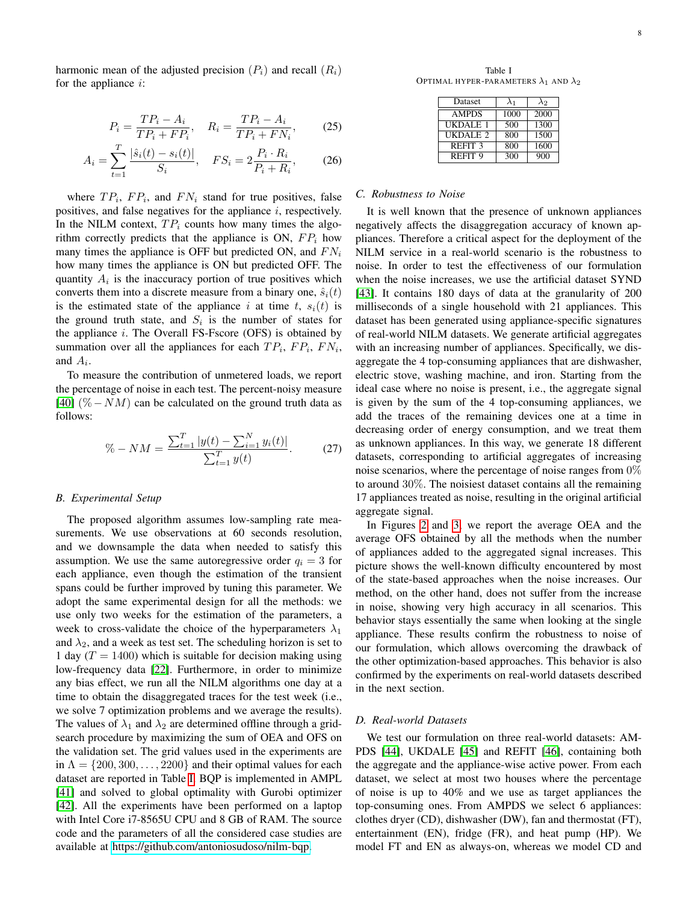harmonic mean of the adjusted precision  $(P_i)$  and recall  $(R_i)$ for the appliance  $i$ :

$$
P_i = \frac{TP_i - A_i}{TP_i + FP_i}, \quad R_i = \frac{TP_i - A_i}{TP_i + FN_i}, \tag{25}
$$

$$
A_i = \sum_{t=1}^{T} \frac{|\hat{s}_i(t) - s_i(t)|}{S_i}, \quad FS_i = 2\frac{P_i \cdot R_i}{P_i + R_i}, \tag{26}
$$

where  $TP_i$ ,  $FP_i$ , and  $FN_i$  stand for true positives, false positives, and false negatives for the appliance  $i$ , respectively. In the NILM context,  $TP_i$  counts how many times the algorithm correctly predicts that the appliance is ON,  $FP_i$  how many times the appliance is OFF but predicted ON, and  $FN_i$ how many times the appliance is ON but predicted OFF. The quantity  $A_i$  is the inaccuracy portion of true positives which converts them into a discrete measure from a binary one,  $\hat{s}_i(t)$ is the estimated state of the appliance i at time t,  $s_i(t)$  is the ground truth state, and  $S_i$  is the number of states for the appliance  $i$ . The Overall FS-Fscore (OFS) is obtained by summation over all the appliances for each  $TP_i$ ,  $FP_i$ ,  $FN_i$ , and  $A_i$ .

To measure the contribution of unmetered loads, we report the percentage of noise in each test. The percent-noisy measure [\[40\]](#page-13-23) (% – NM) can be calculated on the ground truth data as follows:

<span id="page-7-1"></span>
$$
\% - NM = \frac{\sum_{t=1}^{T} |y(t) - \sum_{i=1}^{N} y_i(t)|}{\sum_{t=1}^{T} y(t)}.
$$
 (27)

#### *B. Experimental Setup*

The proposed algorithm assumes low-sampling rate measurements. We use observations at 60 seconds resolution, and we downsample the data when needed to satisfy this assumption. We use the same autoregressive order  $q_i = 3$  for each appliance, even though the estimation of the transient spans could be further improved by tuning this parameter. We adopt the same experimental design for all the methods: we use only two weeks for the estimation of the parameters, a week to cross-validate the choice of the hyperparameters  $\lambda_1$ and  $\lambda_2$ , and a week as test set. The scheduling horizon is set to 1 day  $(T = 1400)$  which is suitable for decision making using low-frequency data [\[22\]](#page-13-5). Furthermore, in order to minimize any bias effect, we run all the NILM algorithms one day at a time to obtain the disaggregated traces for the test week (i.e., we solve 7 optimization problems and we average the results). The values of  $\lambda_1$  and  $\lambda_2$  are determined offline through a gridsearch procedure by maximizing the sum of OEA and OFS on the validation set. The grid values used in the experiments are in  $\Lambda = \{200, 300, \ldots, 2200\}$  and their optimal values for each dataset are reported in Table [I.](#page-7-0) BQP is implemented in AMPL [\[41\]](#page-13-24) and solved to global optimality with Gurobi optimizer [\[42\]](#page-13-25). All the experiments have been performed on a laptop with Intel Core i7-8565U CPU and 8 GB of RAM. The source code and the parameters of all the considered case studies are available at [https://github.com/antoniosudoso/nilm-bqp.](https://github.com/antoniosudoso/nilm-bqp)

<span id="page-7-0"></span>Table I OPTIMAL HYPER-PARAMETERS  $\lambda_1$  AND  $\lambda_2$ 

| Dataset             | $\lambda_1$ | $\lambda_2$ |
|---------------------|-------------|-------------|
| <b>AMPDS</b>        | 1000        | 2000        |
| <b>UKDALE 1</b>     | 500         | 1300        |
| UKDALE <sub>2</sub> | 800         | 1500        |
| REFIT <sub>3</sub>  | 800         | 1600        |
| REFIT <sub>9</sub>  | 300         | 900         |

#### *C. Robustness to Noise*

It is well known that the presence of unknown appliances negatively affects the disaggregation accuracy of known appliances. Therefore a critical aspect for the deployment of the NILM service in a real-world scenario is the robustness to noise. In order to test the effectiveness of our formulation when the noise increases, we use the artificial dataset SYND [\[43\]](#page-13-26). It contains 180 days of data at the granularity of 200 milliseconds of a single household with 21 appliances. This dataset has been generated using appliance-specific signatures of real-world NILM datasets. We generate artificial aggregates with an increasing number of appliances. Specifically, we disaggregate the 4 top-consuming appliances that are dishwasher, electric stove, washing machine, and iron. Starting from the ideal case where no noise is present, i.e., the aggregate signal is given by the sum of the 4 top-consuming appliances, we add the traces of the remaining devices one at a time in decreasing order of energy consumption, and we treat them as unknown appliances. In this way, we generate 18 different datasets, corresponding to artificial aggregates of increasing noise scenarios, where the percentage of noise ranges from 0% to around 30%. The noisiest dataset contains all the remaining 17 appliances treated as noise, resulting in the original artificial aggregate signal.

In Figures [2](#page-8-0) and [3,](#page-8-1) we report the average OEA and the average OFS obtained by all the methods when the number of appliances added to the aggregated signal increases. This picture shows the well-known difficulty encountered by most of the state-based approaches when the noise increases. Our method, on the other hand, does not suffer from the increase in noise, showing very high accuracy in all scenarios. This behavior stays essentially the same when looking at the single appliance. These results confirm the robustness to noise of our formulation, which allows overcoming the drawback of the other optimization-based approaches. This behavior is also confirmed by the experiments on real-world datasets described in the next section.

# *D. Real-world Datasets*

We test our formulation on three real-world datasets: AM-PDS [\[44\]](#page-13-27), UKDALE [\[45\]](#page-13-28) and REFIT [\[46\]](#page-13-29), containing both the aggregate and the appliance-wise active power. From each dataset, we select at most two houses where the percentage of noise is up to 40% and we use as target appliances the top-consuming ones. From AMPDS we select 6 appliances: clothes dryer (CD), dishwasher (DW), fan and thermostat (FT), entertainment (EN), fridge (FR), and heat pump (HP). We model FT and EN as always-on, whereas we model CD and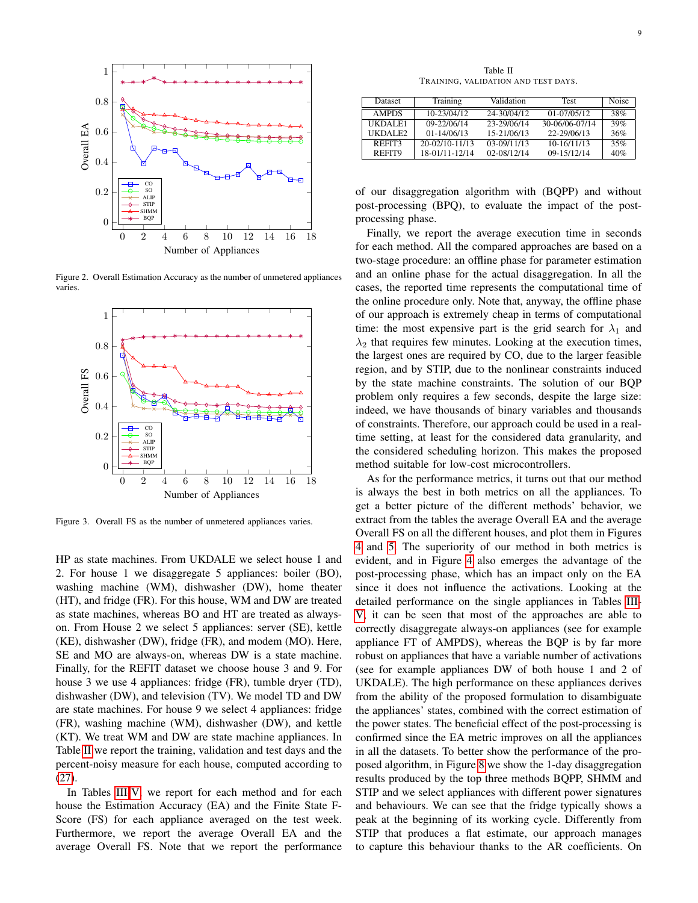

Figure 2. Overall Estimation Accuracy as the number of unmetered appliances varies.

<span id="page-8-0"></span>

<span id="page-8-1"></span>Figure 3. Overall FS as the number of unmetered appliances varies.

HP as state machines. From UKDALE we select house 1 and 2. For house 1 we disaggregate 5 appliances: boiler (BO), washing machine (WM), dishwasher (DW), home theater (HT), and fridge (FR). For this house, WM and DW are treated as state machines, whereas BO and HT are treated as alwayson. From House 2 we select 5 appliances: server (SE), kettle (KE), dishwasher (DW), fridge (FR), and modem (MO). Here, SE and MO are always-on, whereas DW is a state machine. Finally, for the REFIT dataset we choose house 3 and 9. For house 3 we use 4 appliances: fridge (FR), tumble dryer (TD), dishwasher (DW), and television (TV). We model TD and DW are state machines. For house 9 we select 4 appliances: fridge (FR), washing machine (WM), dishwasher (DW), and kettle (KT). We treat WM and DW are state machine appliances. In Table [II](#page-8-2) we report the training, validation and test days and the percent-noisy measure for each house, computed according to [\(27\)](#page-7-1).

In Tables [III](#page-9-0)[-V,](#page-9-1) we report for each method and for each house the Estimation Accuracy (EA) and the Finite State F-Score (FS) for each appliance averaged on the test week. Furthermore, we report the average Overall EA and the average Overall FS. Note that we report the performance

Table II TRAINING, VALIDATION AND TEST DAYS.

<span id="page-8-2"></span>

| <b>Dataset</b>  | Training        | Validation  | <b>Test</b>     | Noise  |
|-----------------|-----------------|-------------|-----------------|--------|
| <b>AMPDS</b>    | 10-23/04/12     | 24-30/04/12 | $01 - 07/05/12$ | $38\%$ |
| <b>IIKDALE1</b> | 09-22/06/14     | 23-29/06/14 | 30-06/06-07/14  | 39%    |
| UKDALE2         | $01 - 14/06/13$ | 15-21/06/13 | 22-29/06/13     | 36%    |
| REFIT3          | 20-02/10-11/13  | 03-09/11/13 | 10-16/11/13     | 35%    |
| REFIT9          | 18-01/11-12/14  | 02-08/12/14 | 09-15/12/14     | 40%    |

of our disaggregation algorithm with (BQPP) and without post-processing (BPQ), to evaluate the impact of the postprocessing phase.

Finally, we report the average execution time in seconds for each method. All the compared approaches are based on a two-stage procedure: an offline phase for parameter estimation and an online phase for the actual disaggregation. In all the cases, the reported time represents the computational time of the online procedure only. Note that, anyway, the offline phase of our approach is extremely cheap in terms of computational time: the most expensive part is the grid search for  $\lambda_1$  and  $\lambda_2$  that requires few minutes. Looking at the execution times, the largest ones are required by CO, due to the larger feasible region, and by STIP, due to the nonlinear constraints induced by the state machine constraints. The solution of our BQP problem only requires a few seconds, despite the large size: indeed, we have thousands of binary variables and thousands of constraints. Therefore, our approach could be used in a realtime setting, at least for the considered data granularity, and the considered scheduling horizon. This makes the proposed method suitable for low-cost microcontrollers.

As for the performance metrics, it turns out that our method is always the best in both metrics on all the appliances. To get a better picture of the different methods' behavior, we extract from the tables the average Overall EA and the average Overall FS on all the different houses, and plot them in Figures [4](#page-10-0) and [5.](#page-10-1) The superiority of our method in both metrics is evident, and in Figure [4](#page-10-0) also emerges the advantage of the post-processing phase, which has an impact only on the EA since it does not influence the activations. Looking at the detailed performance on the single appliances in Tables [III-](#page-9-0)[V,](#page-9-1) it can be seen that most of the approaches are able to correctly disaggregate always-on appliances (see for example appliance FT of AMPDS), whereas the BQP is by far more robust on appliances that have a variable number of activations (see for example appliances DW of both house 1 and 2 of UKDALE). The high performance on these appliances derives from the ability of the proposed formulation to disambiguate the appliances' states, combined with the correct estimation of the power states. The beneficial effect of the post-processing is confirmed since the EA metric improves on all the appliances in all the datasets. To better show the performance of the proposed algorithm, in Figure [8](#page-12-0) we show the 1-day disaggregation results produced by the top three methods BQPP, SHMM and STIP and we select appliances with different power signatures and behaviours. We can see that the fridge typically shows a peak at the beginning of its working cycle. Differently from STIP that produces a flat estimate, our approach manages to capture this behaviour thanks to the AR coefficients. On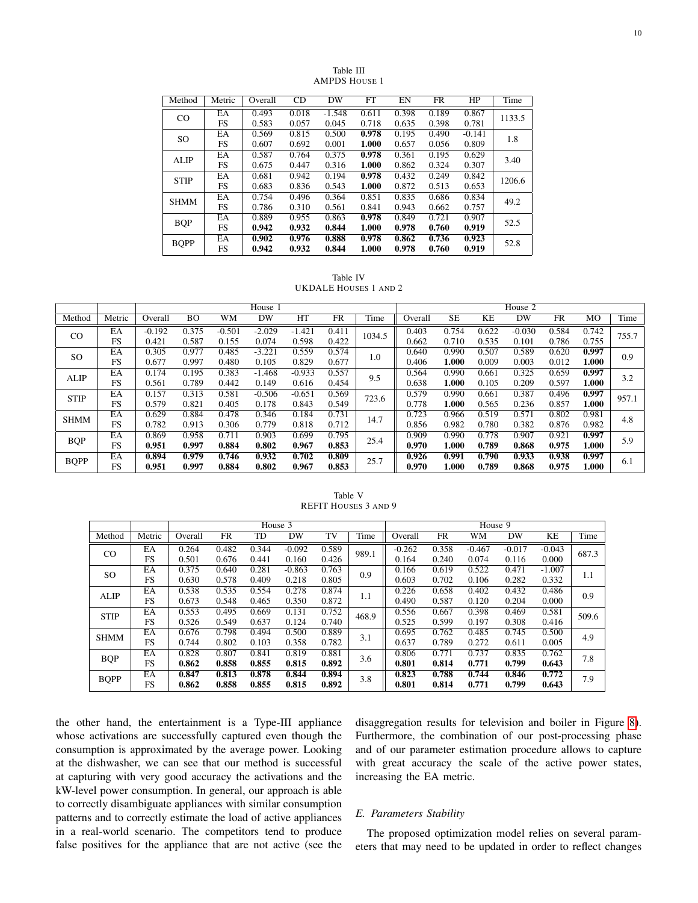<span id="page-9-0"></span>

| Method        | Metric | Overall | CD    | DW       | FT    | EN    | <b>FR</b> | HP       | Time   |
|---------------|--------|---------|-------|----------|-------|-------|-----------|----------|--------|
| $_{\rm CO}$   | EA     | 0.493   | 0.018 | $-1.548$ | 0.611 | 0.398 | 0.189     | 0.867    | 1133.5 |
|               | FS     | 0.583   | 0.057 | 0.045    | 0.718 | 0.635 | 0.398     | 0.781    |        |
| <sub>SO</sub> | EA     | 0.569   | 0.815 | 0.500    | 0.978 | 0.195 | 0.490     | $-0.141$ | 1.8    |
|               | FS     | 0.607   | 0.692 | 0.001    | 1.000 | 0.657 | 0.056     | 0.809    |        |
| <b>ALIP</b>   | EA     | 0.587   | 0.764 | 0.375    | 0.978 | 0.361 | 0.195     | 0.629    | 3.40   |
|               | FS     | 0.675   | 0.447 | 0.316    | 1.000 | 0.862 | 0.324     | 0.307    |        |
| <b>STIP</b>   | EA     | 0.681   | 0.942 | 0.194    | 0.978 | 0.432 | 0.249     | 0.842    | 1206.6 |
|               | FS     | 0.683   | 0.836 | 0.543    | 1.000 | 0.872 | 0.513     | 0.653    |        |
| <b>SHMM</b>   | EA     | 0.754   | 0.496 | 0.364    | 0.851 | 0.835 | 0.686     | 0.834    | 49.2   |
|               | FS     | 0.786   | 0.310 | 0.561    | 0.841 | 0.943 | 0.662     | 0.757    |        |
| <b>BQP</b>    | EA     | 0.889   | 0.955 | 0.863    | 0.978 | 0.849 | 0.721     | 0.907    | 52.5   |
|               | FS     | 0.942   | 0.932 | 0.844    | 1.000 | 0.978 | 0.760     | 0.919    |        |
| <b>BQPP</b>   | EA     | 0.902   | 0.976 | 0.888    | 0.978 | 0.862 | 0.736     | 0.923    | 52.8   |
|               | FS     | 0.942   | 0.932 | 0.844    | 1.000 | 0.978 | 0.760     | 0.919    |        |

Table III AMPDS HOUSE 1

Table IV UKDALE HOUSES 1 AND 2

|               |                 |          |       |          | House 1  |          |       |        |         |           |       | House 2  |       |       |       |
|---------------|-----------------|----------|-------|----------|----------|----------|-------|--------|---------|-----------|-------|----------|-------|-------|-------|
| Method        | Metric          | Overall  | BO    | WМ       | DW       | HT       | FR.   | Time   | Overall | <b>SE</b> | KΕ    | DW       | FR    | МO    | Time  |
| $_{\rm CO}$   | EA              | $-0.192$ | 0.375 | $-0.501$ | $-2.029$ | $-1.421$ | 0.411 | 1034.5 | 0.403   | 0.754     | 0.622 | $-0.030$ | 0.584 | 0.742 | 755.7 |
|               | <b>FS</b>       | 0.421    | 0.587 | 0.155    | 0.074    | 0.598    | 0.422 |        | 0.662   | 0.710     | 0.535 | 0.101    | 0.786 | 0.755 |       |
| <sub>SO</sub> | EA              | 0.305    | 0.977 | 0.485    | $-3.221$ | 0.559    | 0.574 | 1.0    | 0.640   | 0.990     | 0.507 | 0.589    | 0.620 | 0.997 | 0.9   |
|               | <b>FS</b>       | 0.677    | 0.997 | 0.480    | 0.105    | 0.829    | 0.677 |        | 0.406   | 1.000     | 0.009 | 0.003    | 0.012 | 1.000 |       |
| <b>ALIP</b>   | EA              | 0.174    | 0.195 | 0.383    | $-1.468$ | $-0.933$ | 0.557 | 9.5    | 0.564   | 0.990     | 0.661 | 0.325    | 0.659 | 0.997 | 3.2   |
|               | <b>FS</b>       | 0.561    | 0.789 | 0.442    | 0.149    | 0.616    | 0.454 |        | 0.638   | 1.000     | 0.105 | 0.209    | 0.597 | 1.000 |       |
| <b>STIP</b>   | $E\overline{A}$ | 0.157    | 0.313 | 0.581    | $-0.506$ | $-0.651$ | 0.569 | 723.6  | 0.579   | 0.990     | 0.661 | 0.387    | 0.496 | 0.997 | 957.1 |
|               | <b>FS</b>       | 0.579    | 0.821 | 0.405    | 0.178    | 0.843    | 0.549 |        | 0.778   | 1.000     | 0.565 | 0.236    | 0.857 | 1.000 |       |
| <b>SHMM</b>   | EA              | 0.629    | 0.884 | 0.478    | 0.346    | 0.184    | 0.731 | 14.7   | 0.723   | 0.966     | 0.519 | 0.571    | 0.802 | 0.981 | 4.8   |
|               | <b>FS</b>       | 0.782    | 0.913 | 0.306    | 0.779    | 0.818    | 0.712 |        | 0.856   | 0.982     | 0.780 | 0.382    | 0.876 | 0.982 |       |
|               | EA              | 0.869    | 0.958 | 0.711    | 0.903    | 0.699    | 0.795 | 25.4   | 0.909   | 0.990     | 0.778 | 0.907    | 0.921 | 0.997 | 5.9   |
| <b>BQP</b>    | <b>FS</b>       | 0.951    | 0.997 | 0.884    | 0.802    | 0.967    | 0.853 |        | 0.970   | 1.000     | 0.789 | 0.868    | 0.975 | 1.000 |       |
|               | EA              | 0.894    | 0.979 | 0.746    | 0.932    | 0.702    | 0.809 | 25.7   | 0.926   | 0.991     | 0.790 | 0.933    | 0.938 | 0.997 | 6.1   |
| <b>BQPP</b>   | FS              | 0.951    | 0.997 | 0.884    | 0.802    | 0.967    | 0.853 |        | 0.970   | 1.000     | 0.789 | 0.868    | 0.975 | 1.000 |       |

Table V REFIT HOUSES 3 AND 9

<span id="page-9-1"></span>

|             |        |         |       | House 3 |          |       | House 9 |          |           |          |          |          |       |
|-------------|--------|---------|-------|---------|----------|-------|---------|----------|-----------|----------|----------|----------|-------|
| Method      | Metric | Overall | FR    | TD      | DW       | TV    | Time    | Overall  | <b>FR</b> | WM       | DW       | KE       | Time  |
|             | EA     | 0.264   | 0.482 | 0.344   | $-0.092$ | 0.589 | 989.1   | $-0.262$ | 0.358     | $-0.467$ | $-0.017$ | $-0.043$ | 687.3 |
| $_{\rm CO}$ | FS     | 0.501   | 0.676 | 0.441   | 0.160    | 0.426 |         | 0.164    | 0.240     | 0.074    | 0.116    | 0.000    |       |
| SO          | EA     | 0.375   | 0.640 | 0.281   | $-0.863$ | 0.763 | 0.9     | 0.166    | 0.619     | 0.522    | 0.471    | $-1.007$ | 1.1   |
|             | FS     | 0.630   | 0.578 | 0.409   | 0.218    | 0.805 |         | 0.603    | 0.702     | 0.106    | 0.282    | 0.332    |       |
| <b>ALIP</b> | EA     | 0.538   | 0.535 | 0.554   | 0.278    | 0.874 | 1.1     | 0.226    | 0.658     | 0.402    | 0.432    | 0.486    | 0.9   |
|             | FS     | 0.673   | 0.548 | 0.465   | 0.350    | 0.872 |         | 0.490    | 0.587     | 0.120    | 0.204    | 0.000    |       |
| <b>STIP</b> | EA     | 0.553   | 0.495 | 0.669   | 0.131    | 0.752 | 468.9   | 0.556    | 0.667     | 0.398    | 0.469    | 0.581    | 509.6 |
|             | FS     | 0.526   | 0.549 | 0.637   | 0.124    | 0.740 |         | 0.525    | 0.599     | 0.197    | 0.308    | 0.416    |       |
| <b>SHMM</b> | EA     | 0.676   | 0.798 | 0.494   | 0.500    | 0.889 | 3.1     | 0.695    | 0.762     | 0.485    | 0.745    | 0.500    |       |
|             | FS     | 0.744   | 0.802 | 0.103   | 0.358    | 0.782 |         | 0.637    | 0.789     | 0.272    | 0.611    | 0.005    | 4.9   |
| <b>BQP</b>  | EA     | 0.828   | 0.807 | 0.841   | 0.819    | 0.881 | 3.6     | 0.806    | 0.771     | 0.737    | 0.835    | 0.762    | 7.8   |
|             | FS     | 0.862   | 0.858 | 0.855   | 0.815    | 0.892 |         | 0.801    | 0.814     | 0.771    | 0.799    | 0.643    |       |
|             | EA     | 0.847   | 0.813 | 0.878   | 0.844    | 0.894 | 3.8     | 0.823    | 0.788     | 0.744    | 0.846    | 0.772    | 7.9   |
| <b>BQPP</b> | FS     | 0.862   | 0.858 | 0.855   | 0.815    | 0.892 |         | 0.801    | 0.814     | 0.771    | 0.799    | 0.643    |       |

the other hand, the entertainment is a Type-III appliance whose activations are successfully captured even though the consumption is approximated by the average power. Looking at the dishwasher, we can see that our method is successful at capturing with very good accuracy the activations and the kW-level power consumption. In general, our approach is able to correctly disambiguate appliances with similar consumption patterns and to correctly estimate the load of active appliances in a real-world scenario. The competitors tend to produce false positives for the appliance that are not active (see the

disaggregation results for television and boiler in Figure [8\)](#page-12-0). Furthermore, the combination of our post-processing phase and of our parameter estimation procedure allows to capture with great accuracy the scale of the active power states, increasing the EA metric.

# *E. Parameters Stability*

The proposed optimization model relies on several parameters that may need to be updated in order to reflect changes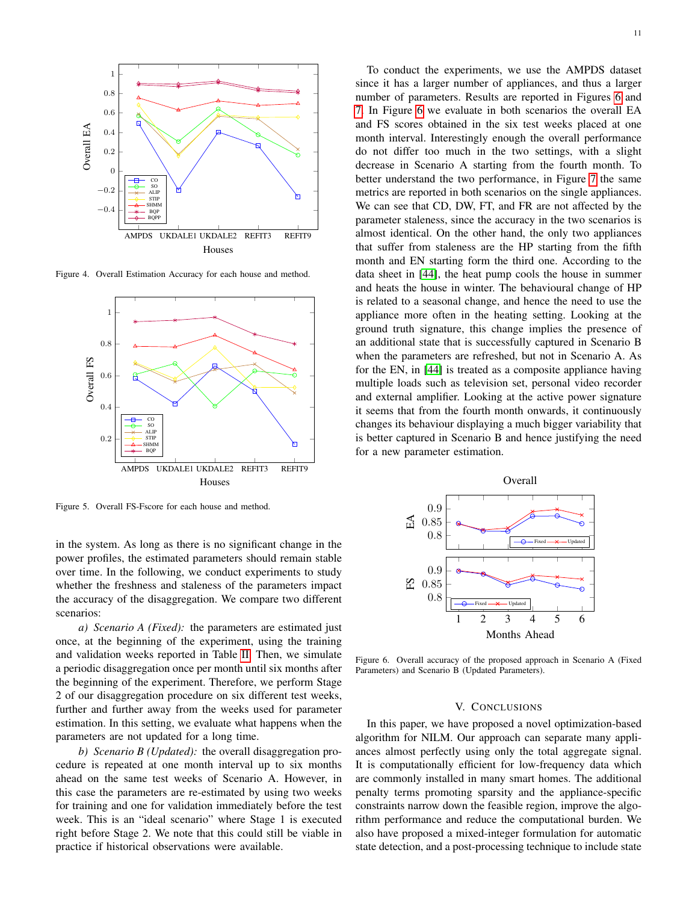

Figure 4. Overall Estimation Accuracy for each house and method.

<span id="page-10-0"></span>

<span id="page-10-1"></span>Figure 5. Overall FS-Fscore for each house and method.

in the system. As long as there is no significant change in the power profiles, the estimated parameters should remain stable over time. In the following, we conduct experiments to study whether the freshness and staleness of the parameters impact the accuracy of the disaggregation. We compare two different scenarios:

*a) Scenario A (Fixed):* the parameters are estimated just once, at the beginning of the experiment, using the training and validation weeks reported in Table [II.](#page-8-2) Then, we simulate a periodic disaggregation once per month until six months after the beginning of the experiment. Therefore, we perform Stage 2 of our disaggregation procedure on six different test weeks, further and further away from the weeks used for parameter estimation. In this setting, we evaluate what happens when the parameters are not updated for a long time.

*b) Scenario B (Updated):* the overall disaggregation procedure is repeated at one month interval up to six months ahead on the same test weeks of Scenario A. However, in this case the parameters are re-estimated by using two weeks for training and one for validation immediately before the test week. This is an "ideal scenario" where Stage 1 is executed right before Stage 2. We note that this could still be viable in practice if historical observations were available.

To conduct the experiments, we use the AMPDS dataset since it has a larger number of appliances, and thus a larger number of parameters. Results are reported in Figures [6](#page-10-2) and [7.](#page-11-16) In Figure [6](#page-10-2) we evaluate in both scenarios the overall EA and FS scores obtained in the six test weeks placed at one month interval. Interestingly enough the overall performance do not differ too much in the two settings, with a slight decrease in Scenario A starting from the fourth month. To better understand the two performance, in Figure [7](#page-11-16) the same metrics are reported in both scenarios on the single appliances. We can see that CD, DW, FT, and FR are not affected by the parameter staleness, since the accuracy in the two scenarios is almost identical. On the other hand, the only two appliances that suffer from staleness are the HP starting from the fifth month and EN starting form the third one. According to the data sheet in [\[44\]](#page-13-27), the heat pump cools the house in summer and heats the house in winter. The behavioural change of HP is related to a seasonal change, and hence the need to use the appliance more often in the heating setting. Looking at the ground truth signature, this change implies the presence of an additional state that is successfully captured in Scenario B when the parameters are refreshed, but not in Scenario A. As for the EN, in [\[44\]](#page-13-27) is treated as a composite appliance having multiple loads such as television set, personal video recorder and external amplifier. Looking at the active power signature it seems that from the fourth month onwards, it continuously changes its behaviour displaying a much bigger variability that is better captured in Scenario B and hence justifying the need for a new parameter estimation.



<span id="page-10-2"></span>Figure 6. Overall accuracy of the proposed approach in Scenario A (Fixed Parameters) and Scenario B (Updated Parameters).

## V. CONCLUSIONS

In this paper, we have proposed a novel optimization-based algorithm for NILM. Our approach can separate many appliances almost perfectly using only the total aggregate signal. It is computationally efficient for low-frequency data which are commonly installed in many smart homes. The additional penalty terms promoting sparsity and the appliance-specific constraints narrow down the feasible region, improve the algorithm performance and reduce the computational burden. We also have proposed a mixed-integer formulation for automatic state detection, and a post-processing technique to include state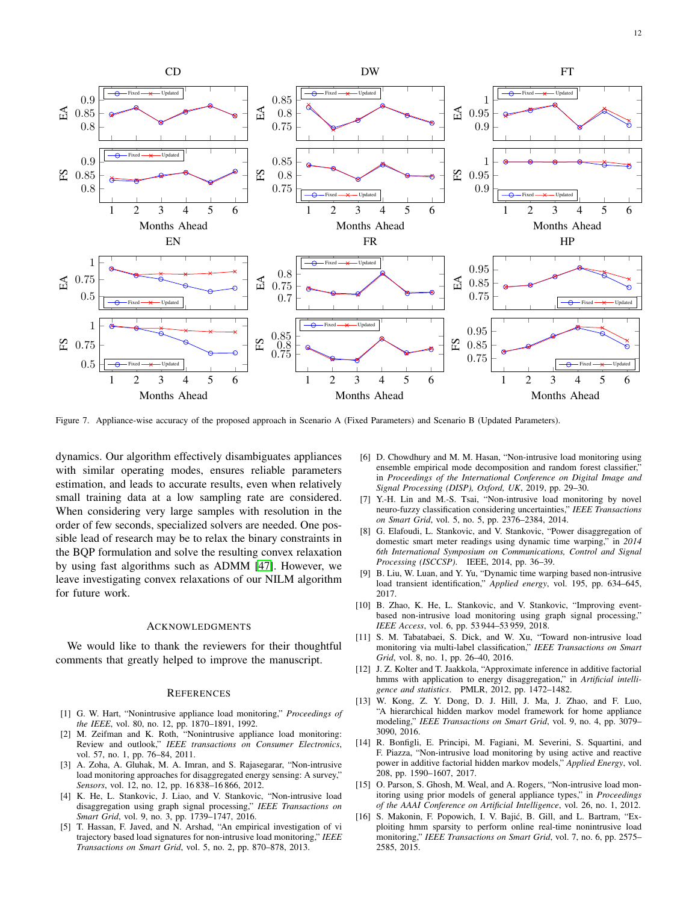

<span id="page-11-16"></span>Figure 7. Appliance-wise accuracy of the proposed approach in Scenario A (Fixed Parameters) and Scenario B (Updated Parameters).

dynamics. Our algorithm effectively disambiguates appliances with similar operating modes, ensures reliable parameters estimation, and leads to accurate results, even when relatively small training data at a low sampling rate are considered. When considering very large samples with resolution in the order of few seconds, specialized solvers are needed. One possible lead of research may be to relax the binary constraints in the BQP formulation and solve the resulting convex relaxation by using fast algorithms such as ADMM [\[47\]](#page-13-30). However, we leave investigating convex relaxations of our NILM algorithm for future work.

## ACKNOWLEDGMENTS

We would like to thank the reviewers for their thoughtful comments that greatly helped to improve the manuscript.

#### **REFERENCES**

- <span id="page-11-0"></span>[1] G. W. Hart, "Nonintrusive appliance load monitoring," *Proceedings of the IEEE*, vol. 80, no. 12, pp. 1870–1891, 1992.
- <span id="page-11-1"></span>[2] M. Zeifman and K. Roth, "Nonintrusive appliance load monitoring: Review and outlook," *IEEE transactions on Consumer Electronics*, vol. 57, no. 1, pp. 76–84, 2011.
- <span id="page-11-2"></span>[3] A. Zoha, A. Gluhak, M. A. Imran, and S. Rajasegarar, "Non-intrusive load monitoring approaches for disaggregated energy sensing: A survey," *Sensors*, vol. 12, no. 12, pp. 16 838–16 866, 2012.
- <span id="page-11-3"></span>[4] K. He, L. Stankovic, J. Liao, and V. Stankovic, "Non-intrusive load disaggregation using graph signal processing," *IEEE Transactions on Smart Grid*, vol. 9, no. 3, pp. 1739–1747, 2016.
- <span id="page-11-4"></span>[5] T. Hassan, F. Javed, and N. Arshad, "An empirical investigation of vi trajectory based load signatures for non-intrusive load monitoring," *IEEE Transactions on Smart Grid*, vol. 5, no. 2, pp. 870–878, 2013.
- <span id="page-11-5"></span>[6] D. Chowdhury and M. M. Hasan, "Non-intrusive load monitoring using ensemble empirical mode decomposition and random forest classifier," in *Proceedings of the International Conference on Digital Image and Signal Processing (DISP), Oxford, UK*, 2019, pp. 29–30.
- <span id="page-11-6"></span>[7] Y.-H. Lin and M.-S. Tsai, "Non-intrusive load monitoring by novel neuro-fuzzy classification considering uncertainties," *IEEE Transactions on Smart Grid*, vol. 5, no. 5, pp. 2376–2384, 2014.
- <span id="page-11-7"></span>[8] G. Elafoudi, L. Stankovic, and V. Stankovic, "Power disaggregation of domestic smart meter readings using dynamic time warping," in *2014 6th International Symposium on Communications, Control and Signal Processing (ISCCSP)*. IEEE, 2014, pp. 36–39.
- <span id="page-11-8"></span>[9] B. Liu, W. Luan, and Y. Yu, "Dynamic time warping based non-intrusive load transient identification," *Applied energy*, vol. 195, pp. 634–645, 2017.
- <span id="page-11-9"></span>[10] B. Zhao, K. He, L. Stankovic, and V. Stankovic, "Improving eventbased non-intrusive load monitoring using graph signal processing," *IEEE Access*, vol. 6, pp. 53 944–53 959, 2018.
- <span id="page-11-10"></span>[11] S. M. Tabatabaei, S. Dick, and W. Xu, "Toward non-intrusive load monitoring via multi-label classification," *IEEE Transactions on Smart Grid*, vol. 8, no. 1, pp. 26–40, 2016.
- <span id="page-11-11"></span>[12] J. Z. Kolter and T. Jaakkola, "Approximate inference in additive factorial hmms with application to energy disaggregation," in *Artificial intelligence and statistics*. PMLR, 2012, pp. 1472–1482.
- <span id="page-11-12"></span>[13] W. Kong, Z. Y. Dong, D. J. Hill, J. Ma, J. Zhao, and F. Luo, "A hierarchical hidden markov model framework for home appliance modeling," *IEEE Transactions on Smart Grid*, vol. 9, no. 4, pp. 3079– 3090, 2016.
- <span id="page-11-13"></span>[14] R. Bonfigli, E. Principi, M. Fagiani, M. Severini, S. Squartini, and F. Piazza, "Non-intrusive load monitoring by using active and reactive power in additive factorial hidden markov models," *Applied Energy*, vol. 208, pp. 1590–1607, 2017.
- <span id="page-11-14"></span>[15] O. Parson, S. Ghosh, M. Weal, and A. Rogers, "Non-intrusive load monitoring using prior models of general appliance types," in *Proceedings of the AAAI Conference on Artificial Intelligence*, vol. 26, no. 1, 2012.
- <span id="page-11-15"></span>[16] S. Makonin, F. Popowich, I. V. Bajić, B. Gill, and L. Bartram, "Exploiting hmm sparsity to perform online real-time nonintrusive load monitoring," *IEEE Transactions on Smart Grid*, vol. 7, no. 6, pp. 2575– 2585, 2015.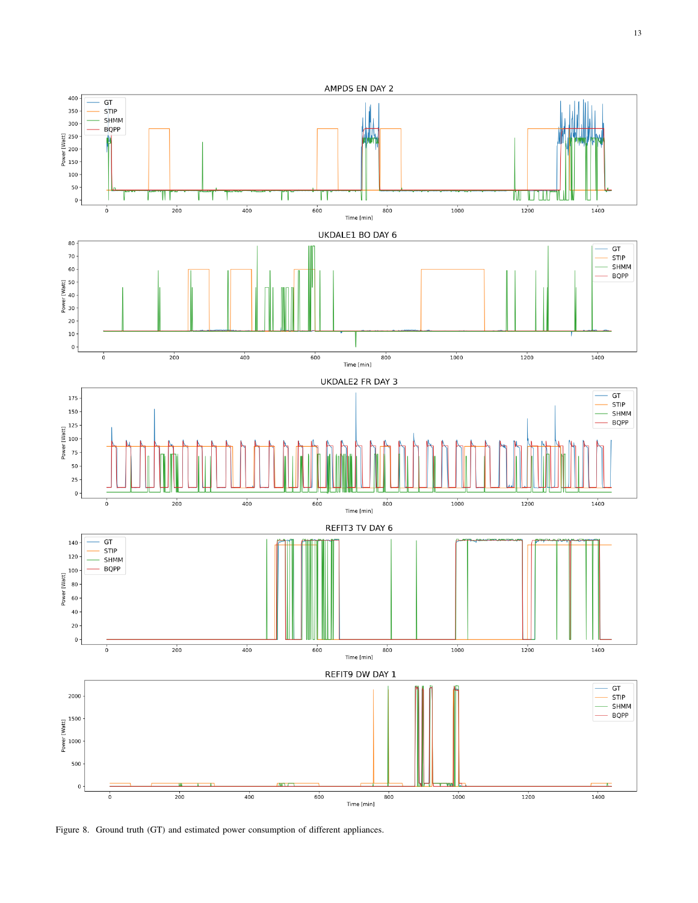

<span id="page-12-0"></span>Figure 8. Ground truth (GT) and estimated power consumption of different appliances.